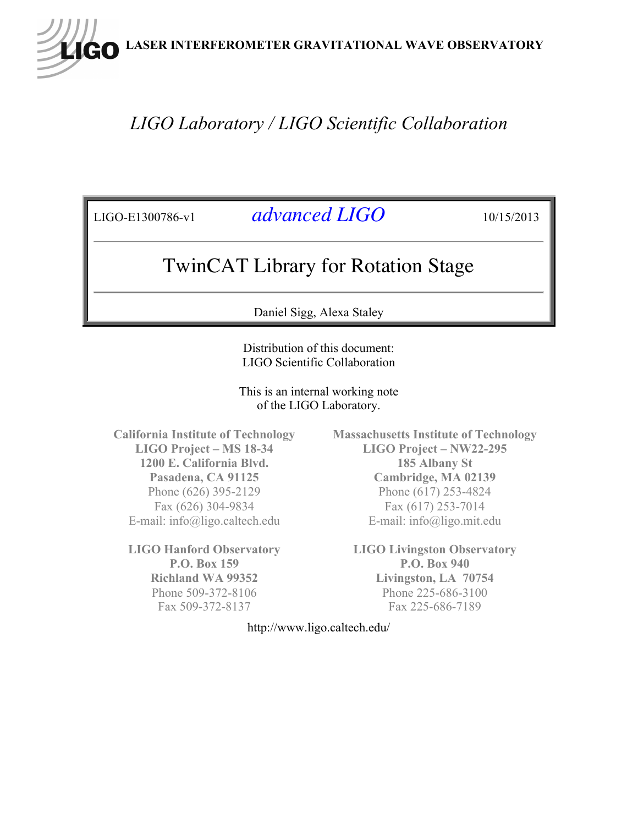**LASER INTERFEROMETER GRAVITATIONAL WAVE OBSERVATORY**

## *LIGO Laboratory / LIGO Scientific Collaboration*

LIGO-E1300786-v1 *advanced LIGO* 10/15/2013

## TwinCAT Library for Rotation Stage

Daniel Sigg, Alexa Staley

Distribution of this document: LIGO Scientific Collaboration

This is an internal working note of the LIGO Laboratory.

**California Institute of Technology LIGO Project – MS 18-34 1200 E. California Blvd. Pasadena, CA 91125** Phone (626) 395-2129 Fax (626) 304-9834 E-mail: info@ligo.caltech.edu

**LIGO Hanford Observatory P.O. Box 159 Richland WA 99352** Phone 509-372-8106 Fax 509-372-8137

**Massachusetts Institute of Technology LIGO Project – NW22-295 185 Albany St Cambridge, MA 02139** Phone (617) 253-4824 Fax (617) 253-7014 E-mail: info@ligo.mit.edu

**LIGO Livingston Observatory P.O. Box 940 Livingston, LA 70754** Phone 225-686-3100 Fax 225-686-7189

http://www.ligo.caltech.edu/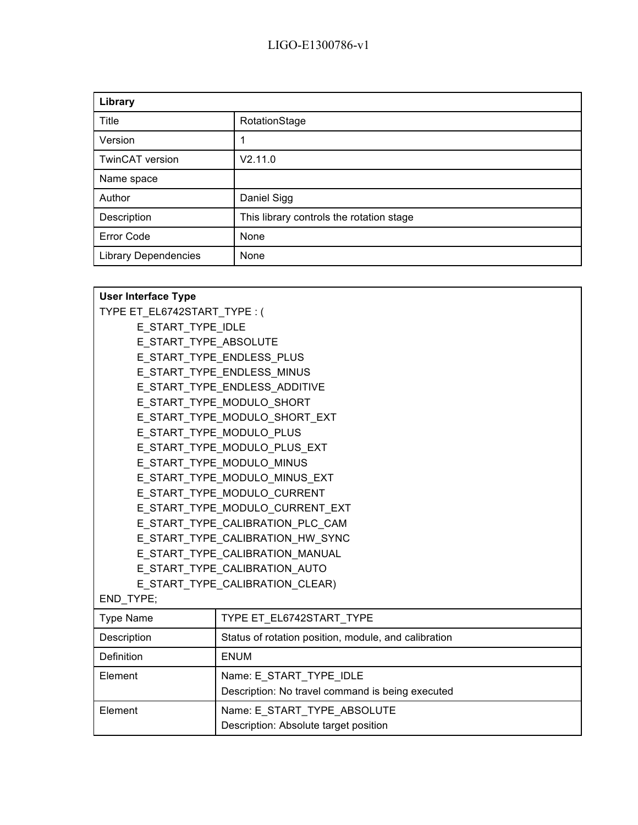| Library                     |                                          |  |
|-----------------------------|------------------------------------------|--|
| Title                       | RotationStage                            |  |
| Version                     |                                          |  |
| TwinCAT version             | V2.11.0                                  |  |
| Name space                  |                                          |  |
| Author                      | Daniel Sigg                              |  |
| Description                 | This library controls the rotation stage |  |
| <b>Error Code</b>           | None                                     |  |
| <b>Library Dependencies</b> | None                                     |  |

| <b>User Interface Type</b>       |                                                      |  |  |
|----------------------------------|------------------------------------------------------|--|--|
| TYPE ET EL6742START TYPE: (      |                                                      |  |  |
| E START TYPE IDLE                |                                                      |  |  |
| E START TYPE ABSOLUTE            |                                                      |  |  |
|                                  | E START TYPE ENDLESS PLUS                            |  |  |
|                                  | E START TYPE ENDLESS MINUS                           |  |  |
|                                  | E START TYPE ENDLESS ADDITIVE                        |  |  |
|                                  | E START TYPE MODULO SHORT                            |  |  |
|                                  | E START TYPE MODULO SHORT EXT                        |  |  |
|                                  | E START TYPE MODULO PLUS                             |  |  |
|                                  | E START TYPE MODULO PLUS EXT                         |  |  |
| E START TYPE MODULO MINUS        |                                                      |  |  |
|                                  | E START TYPE MODULO MINUS EXT                        |  |  |
| E START_TYPE_MODULO_CURRENT      |                                                      |  |  |
|                                  | E START TYPE MODULO CURRENT EXT                      |  |  |
| E START TYPE CALIBRATION PLC CAM |                                                      |  |  |
| E START TYPE CALIBRATION HW SYNC |                                                      |  |  |
| E START TYPE CALIBRATION MANUAL  |                                                      |  |  |
| E_START_TYPE_CALIBRATION_AUTO    |                                                      |  |  |
| E START TYPE CALIBRATION CLEAR)  |                                                      |  |  |
| END_TYPE;                        |                                                      |  |  |
| <b>Type Name</b>                 | TYPE ET_EL6742START_TYPE                             |  |  |
| Description                      | Status of rotation position, module, and calibration |  |  |
| Definition                       | <b>ENUM</b>                                          |  |  |
| Element                          | Name: E_START_TYPE_IDLE                              |  |  |
|                                  | Description: No travel command is being executed     |  |  |
| Element                          | Name: E START TYPE ABSOLUTE                          |  |  |
|                                  | Description: Absolute target position                |  |  |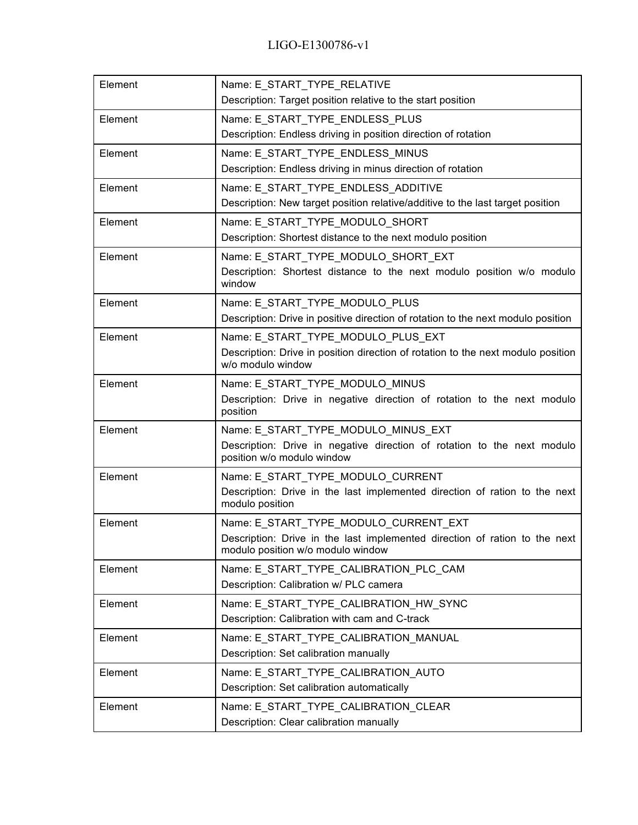| Element | Name: E START TYPE RELATIVE<br>Description: Target position relative to the start position                                                               |
|---------|----------------------------------------------------------------------------------------------------------------------------------------------------------|
| Element | Name: E_START_TYPE_ENDLESS_PLUS<br>Description: Endless driving in position direction of rotation                                                        |
| Element | Name: E_START_TYPE_ENDLESS_MINUS<br>Description: Endless driving in minus direction of rotation                                                          |
| Element | Name: E_START_TYPE_ENDLESS_ADDITIVE<br>Description: New target position relative/additive to the last target position                                    |
| Element | Name: E START TYPE MODULO SHORT<br>Description: Shortest distance to the next modulo position                                                            |
| Element | Name: E_START_TYPE_MODULO_SHORT_EXT<br>Description: Shortest distance to the next modulo position w/o modulo<br>window                                   |
| Element | Name: E_START_TYPE_MODULO_PLUS<br>Description: Drive in positive direction of rotation to the next modulo position                                       |
| Element | Name: E START TYPE MODULO PLUS EXT<br>Description: Drive in position direction of rotation to the next modulo position<br>w/o modulo window              |
| Element | Name: E_START_TYPE_MODULO_MINUS<br>Description: Drive in negative direction of rotation to the next modulo<br>position                                   |
| Element | Name: E_START_TYPE_MODULO_MINUS_EXT<br>Description: Drive in negative direction of rotation to the next modulo<br>position w/o modulo window             |
| Element | Name: E_START_TYPE_MODULO_CURRENT<br>Description: Drive in the last implemented direction of ration to the next<br>modulo position                       |
| Element | Name: E_START_TYPE_MODULO_CURRENT_EXT<br>Description: Drive in the last implemented direction of ration to the next<br>modulo position w/o modulo window |
| Element | Name: E_START_TYPE_CALIBRATION_PLC_CAM<br>Description: Calibration w/ PLC camera                                                                         |
| Element | Name: E_START_TYPE_CALIBRATION_HW_SYNC<br>Description: Calibration with cam and C-track                                                                  |
| Element | Name: E_START_TYPE_CALIBRATION_MANUAL<br>Description: Set calibration manually                                                                           |
| Element | Name: E START TYPE CALIBRATION AUTO<br>Description: Set calibration automatically                                                                        |
| Element | Name: E_START_TYPE_CALIBRATION_CLEAR<br>Description: Clear calibration manually                                                                          |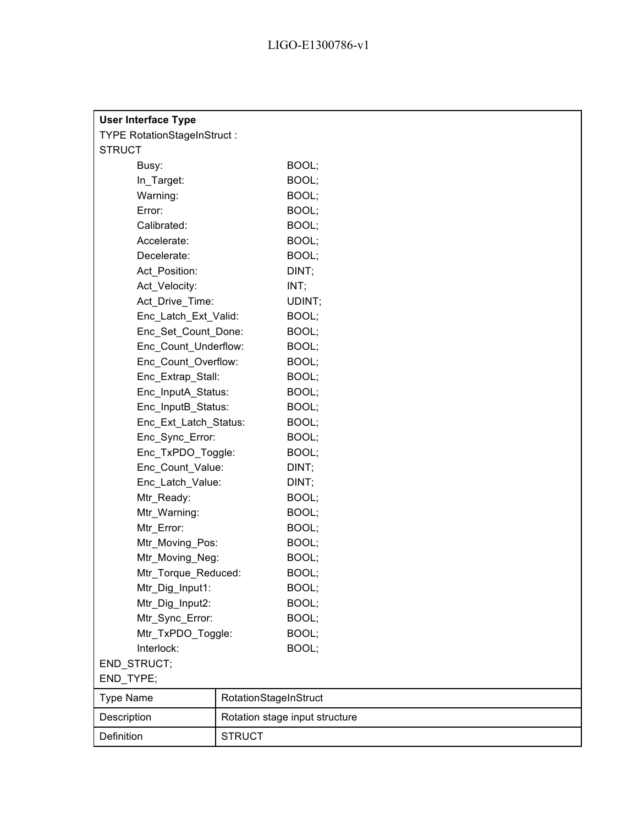| <b>User Interface Type</b>         |                       |                                |
|------------------------------------|-----------------------|--------------------------------|
| <b>TYPE RotationStageInStruct:</b> |                       |                                |
| <b>STRUCT</b>                      |                       |                                |
| Busy:                              |                       | BOOL;                          |
| In_Target:                         |                       | BOOL;                          |
| Warning:                           |                       | BOOL;                          |
| Error:                             |                       | BOOL;                          |
| Calibrated:                        |                       | BOOL;                          |
| Accelerate:                        |                       | BOOL;                          |
| Decelerate:                        |                       | BOOL;                          |
| Act_Position:                      |                       | DINT;                          |
| Act_Velocity:                      |                       | INT;                           |
| Act_Drive_Time:                    |                       | UDINT;                         |
| Enc_Latch_Ext_Valid:               |                       | BOOL;                          |
| Enc_Set_Count_Done:                |                       | BOOL;                          |
| Enc Count Underflow:               |                       | BOOL;                          |
| Enc Count Overflow:                |                       | BOOL;                          |
| Enc_Extrap_Stall:                  |                       | BOOL;                          |
| Enc_InputA_Status:                 |                       | BOOL;                          |
| Enc_InputB_Status:                 |                       | BOOL;                          |
| Enc_Ext_Latch_Status:              |                       | BOOL;                          |
| Enc_Sync_Error:                    |                       | BOOL;                          |
| Enc_TxPDO_Toggle:                  |                       | BOOL;                          |
| Enc_Count_Value:                   |                       | DINT;                          |
| Enc_Latch_Value:                   |                       | DINT;                          |
| Mtr_Ready:                         |                       | BOOL;                          |
| Mtr_Warning:                       |                       | BOOL;                          |
| Mtr_Error:                         |                       | BOOL;                          |
| Mtr_Moving_Pos:                    |                       | BOOL;                          |
| Mtr Moving Neg:                    |                       | BOOL;                          |
| Mtr_Torque_Reduced:                |                       | BOOL;                          |
| Mtr_Dig_Input1:                    |                       | BOOL;                          |
| Mtr Dig Input2:                    |                       | BOOL;                          |
| Mtr_Sync_Error:                    |                       | BOOL;                          |
| Mtr_TxPDO_Toggle:                  |                       | BOOL;                          |
| Interlock:                         |                       | BOOL;                          |
| END STRUCT;                        |                       |                                |
| END_TYPE;                          |                       |                                |
| <b>Type Name</b>                   | RotationStageInStruct |                                |
| Description                        |                       | Rotation stage input structure |
| Definition                         | <b>STRUCT</b>         |                                |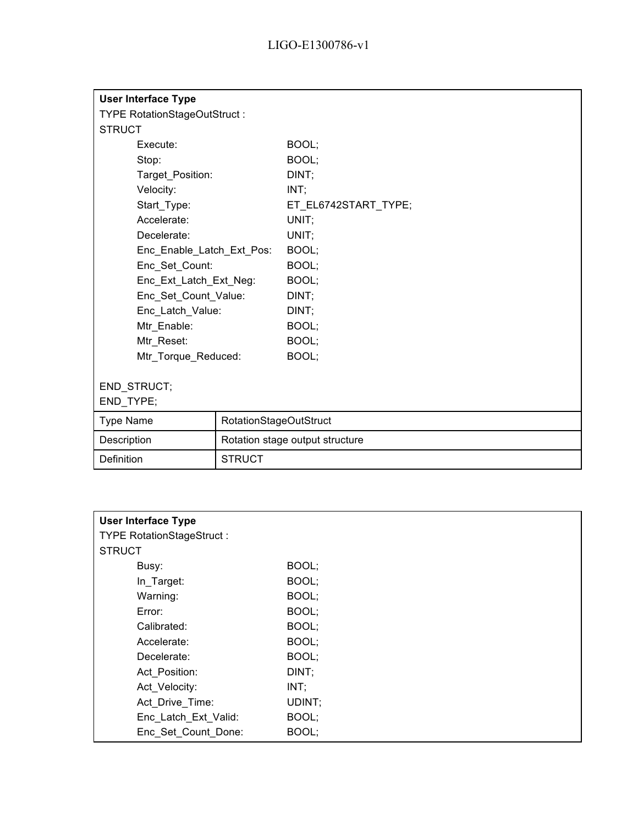| <b>User Interface Type</b>   |                        |                                 |
|------------------------------|------------------------|---------------------------------|
| TYPE RotationStageOutStruct: |                        |                                 |
| <b>STRUCT</b>                |                        |                                 |
| Execute:                     |                        | BOOL;                           |
| Stop:                        |                        | BOOL:                           |
| Target_Position:             |                        | DINT;                           |
| Velocity:                    |                        | INT;                            |
| Start_Type:                  |                        | ET_EL6742START_TYPE;            |
| Accelerate:                  |                        | UNIT;                           |
| Decelerate:                  |                        | UNIT;                           |
| Enc_Enable_Latch_Ext_Pos:    |                        | BOOL;                           |
| Enc_Set_Count:               |                        | BOOL;                           |
| Enc_Ext_Latch_Ext_Neg:       |                        | BOOL;                           |
| Enc_Set_Count_Value:         |                        | DINT;                           |
| Enc_Latch_Value:             |                        | DINT;                           |
| Mtr_Enable:                  |                        | BOOL;                           |
| Mtr_Reset:                   |                        | BOOL;                           |
| Mtr Torque Reduced:          |                        | BOOL;                           |
|                              |                        |                                 |
| END_STRUCT;                  |                        |                                 |
| END_TYPE;                    |                        |                                 |
| <b>Type Name</b>             | RotationStageOutStruct |                                 |
| Description                  |                        | Rotation stage output structure |
| Definition                   | <b>STRUCT</b>          |                                 |

| <b>User Interface Type</b>       |        |  |  |
|----------------------------------|--------|--|--|
| <b>TYPE RotationStageStruct:</b> |        |  |  |
| <b>STRUCT</b>                    |        |  |  |
| Busy:                            | BOOL;  |  |  |
| In_Target:                       | BOOL;  |  |  |
| Warning:                         | BOOL;  |  |  |
| Error:                           | BOOL;  |  |  |
| Calibrated:                      | BOOL;  |  |  |
| Accelerate:                      | BOOL;  |  |  |
| Decelerate:                      | BOOL;  |  |  |
| Act Position:                    | DINT;  |  |  |
| Act Velocity:                    | INT;   |  |  |
| Act_Drive_Time:                  | UDINT; |  |  |
| Enc_Latch_Ext_Valid:             | BOOL;  |  |  |
| Enc Set Count Done:              | BOOL;  |  |  |
|                                  |        |  |  |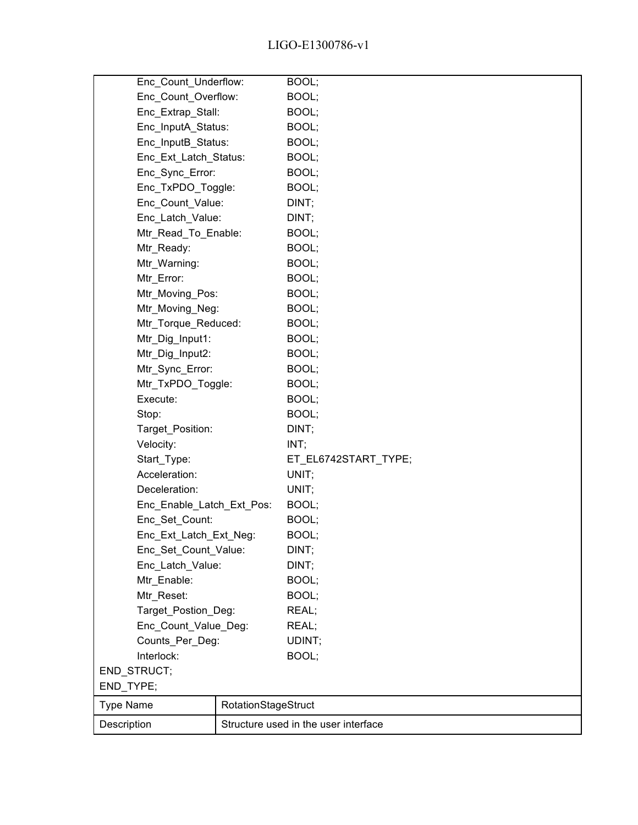| Enc_Count_Underflow:      |                     | BOOL;                                |
|---------------------------|---------------------|--------------------------------------|
| Enc_Count_Overflow:       |                     | BOOL;                                |
| Enc_Extrap_Stall:         |                     | BOOL;                                |
| Enc_InputA_Status:        |                     | BOOL;                                |
| Enc_InputB_Status:        |                     | BOOL;                                |
| Enc_Ext_Latch_Status:     |                     | BOOL;                                |
| Enc_Sync_Error:           |                     | BOOL;                                |
| Enc_TxPDO_Toggle:         |                     | BOOL;                                |
| Enc_Count_Value:          |                     | DINT;                                |
| Enc_Latch_Value:          |                     | DINT;                                |
| Mtr_Read_To_Enable:       |                     | BOOL;                                |
| Mtr_Ready:                |                     | BOOL;                                |
| Mtr_Warning:              |                     | BOOL;                                |
| Mtr_Error:                |                     | BOOL;                                |
| Mtr Moving Pos:           |                     | BOOL;                                |
| Mtr Moving Neg:           |                     | BOOL;                                |
| Mtr_Torque_Reduced:       |                     | BOOL;                                |
| Mtr_Dig_Input1:           |                     | BOOL;                                |
| Mtr_Dig_Input2:           |                     | BOOL;                                |
| Mtr_Sync_Error:           |                     | BOOL;                                |
| Mtr_TxPDO_Toggle:         |                     | BOOL;                                |
| Execute:                  |                     | BOOL;                                |
| Stop:                     |                     | BOOL;                                |
| Target_Position:          |                     | DINT;                                |
| Velocity:                 |                     | INT;                                 |
| Start_Type:               |                     | ET_EL6742START_TYPE;                 |
| Acceleration:             |                     | UNIT;                                |
| Deceleration:             |                     | UNIT;                                |
| Enc_Enable_Latch_Ext_Pos: |                     | BOOL;                                |
| Enc_Set_Count:            |                     | BOOL;                                |
| Enc_Ext_Latch_Ext_Neg:    |                     | BOOL;                                |
| Enc_Set_Count_Value:      |                     | DINT;                                |
| Enc_Latch_Value:          |                     | DINT;                                |
| Mtr_Enable:               |                     | BOOL;                                |
| Mtr_Reset:                |                     | BOOL;                                |
| Target_Postion_Deg:       |                     | REAL;                                |
| Enc_Count_Value_Deg:      |                     | REAL;                                |
| Counts_Per_Deg:           |                     | UDINT;                               |
| Interlock:                |                     | BOOL;                                |
| END_STRUCT;               |                     |                                      |
| END_TYPE;                 |                     |                                      |
| <b>Type Name</b>          | RotationStageStruct |                                      |
| Description               |                     | Structure used in the user interface |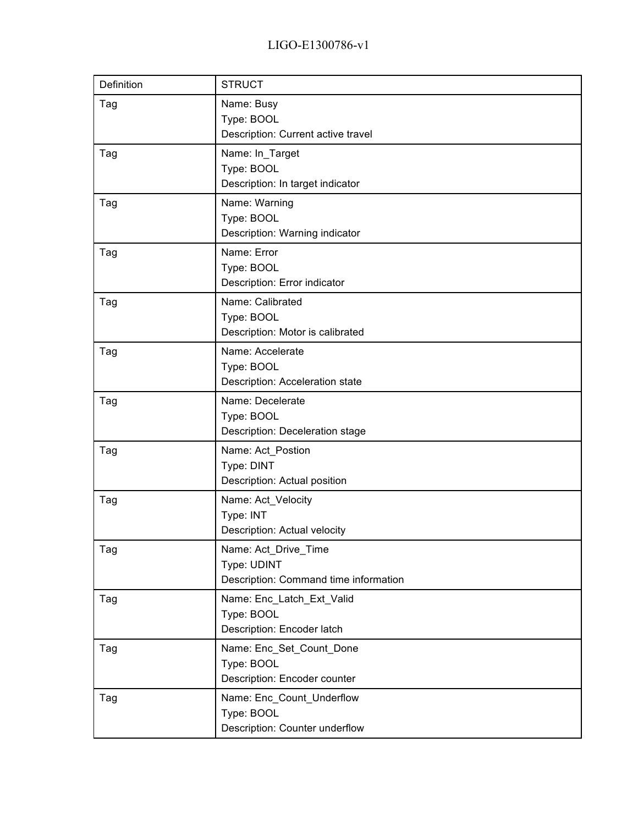| Definition | <b>STRUCT</b>                                                                |
|------------|------------------------------------------------------------------------------|
| Tag        | Name: Busy<br>Type: BOOL<br>Description: Current active travel               |
| Tag        | Name: In_Target<br>Type: BOOL<br>Description: In target indicator            |
| Tag        | Name: Warning<br>Type: BOOL<br>Description: Warning indicator                |
| Tag        | Name: Error<br>Type: BOOL<br>Description: Error indicator                    |
| Tag        | Name: Calibrated<br>Type: BOOL<br>Description: Motor is calibrated           |
| Tag        | Name: Accelerate<br>Type: BOOL<br>Description: Acceleration state            |
| Tag        | Name: Decelerate<br>Type: BOOL<br>Description: Deceleration stage            |
| Tag        | Name: Act_Postion<br>Type: DINT<br>Description: Actual position              |
| Tag        | Name: Act_Velocity<br>Type: INT<br>Description: Actual velocity              |
| Tag        | Name: Act_Drive_Time<br>Type: UDINT<br>Description: Command time information |
| Tag        | Name: Enc_Latch_Ext_Valid<br>Type: BOOL<br>Description: Encoder latch        |
| Tag        | Name: Enc_Set_Count_Done<br>Type: BOOL<br>Description: Encoder counter       |
| Tag        | Name: Enc_Count_Underflow<br>Type: BOOL<br>Description: Counter underflow    |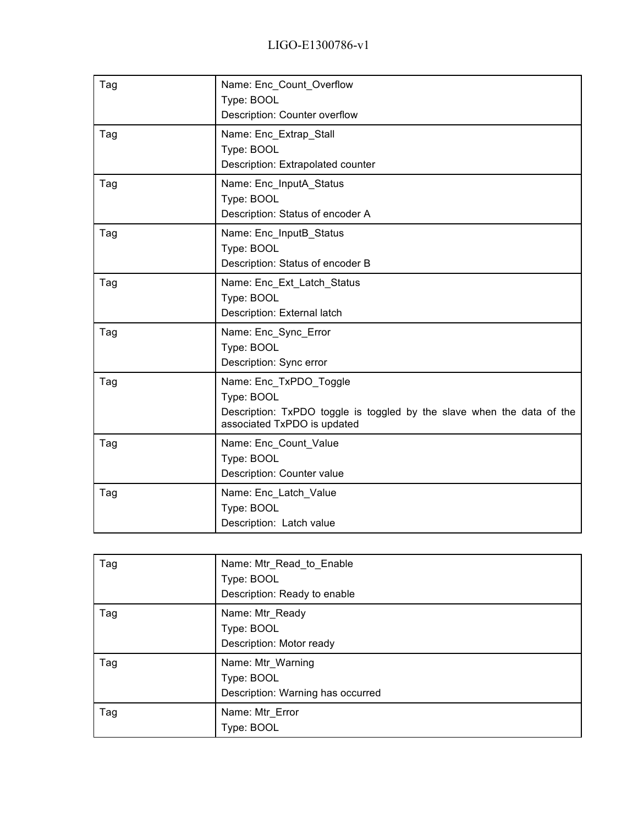| Tag | Name: Enc_Count_Overflow                                                                              |
|-----|-------------------------------------------------------------------------------------------------------|
|     | Type: BOOL<br>Description: Counter overflow                                                           |
| Tag | Name: Enc_Extrap_Stall                                                                                |
|     | Type: BOOL                                                                                            |
|     | Description: Extrapolated counter                                                                     |
| Tag | Name: Enc_InputA_Status                                                                               |
|     | Type: BOOL                                                                                            |
|     | Description: Status of encoder A                                                                      |
| Tag | Name: Enc_InputB_Status                                                                               |
|     | Type: BOOL                                                                                            |
|     | Description: Status of encoder B                                                                      |
| Tag | Name: Enc_Ext_Latch_Status                                                                            |
|     | Type: BOOL                                                                                            |
|     | Description: External latch                                                                           |
| Tag | Name: Enc_Sync_Error                                                                                  |
|     | Type: BOOL                                                                                            |
|     | Description: Sync error                                                                               |
| Tag | Name: Enc_TxPDO_Toggle                                                                                |
|     | Type: BOOL                                                                                            |
|     | Description: TxPDO toggle is toggled by the slave when the data of the<br>associated TxPDO is updated |
| Tag | Name: Enc_Count_Value                                                                                 |
|     | Type: BOOL                                                                                            |
|     | Description: Counter value                                                                            |
| Tag | Name: Enc_Latch_Value                                                                                 |
|     | Type: BOOL                                                                                            |
|     | Description: Latch value                                                                              |

| Tag | Name: Mtr_Read_to_Enable<br>Type: BOOL<br>Description: Ready to enable |
|-----|------------------------------------------------------------------------|
| Tag | Name: Mtr_Ready<br>Type: BOOL<br>Description: Motor ready              |
| Tag | Name: Mtr_Warning<br>Type: BOOL<br>Description: Warning has occurred   |
| Tag | Name: Mtr_Error<br>Type: BOOL                                          |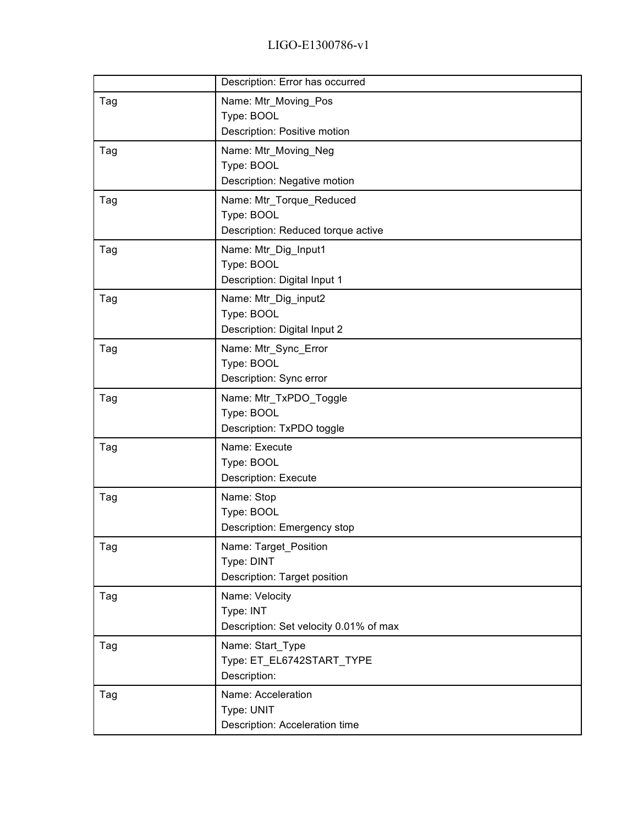|     | Description: Error has occurred                                              |
|-----|------------------------------------------------------------------------------|
| Tag | Name: Mtr_Moving_Pos<br>Type: BOOL<br>Description: Positive motion           |
| Tag | Name: Mtr_Moving_Neg<br>Type: BOOL<br>Description: Negative motion           |
| Tag | Name: Mtr_Torque_Reduced<br>Type: BOOL<br>Description: Reduced torque active |
| Tag | Name: Mtr_Dig_Input1<br>Type: BOOL<br>Description: Digital Input 1           |
| Tag | Name: Mtr_Dig_input2<br>Type: BOOL<br>Description: Digital Input 2           |
| Tag | Name: Mtr_Sync_Error<br>Type: BOOL<br>Description: Sync error                |
| Tag | Name: Mtr_TxPDO_Toggle<br>Type: BOOL<br>Description: TxPDO toggle            |
| Tag | Name: Execute<br>Type: BOOL<br><b>Description: Execute</b>                   |
| Tag | Name: Stop<br>Type: BOOL<br>Description: Emergency stop                      |
| Tag | Name: Target_Position<br>Type: DINT<br>Description: Target position          |
| Tag | Name: Velocity<br>Type: INT<br>Description: Set velocity 0.01% of max        |
| Tag | Name: Start_Type<br>Type: ET_EL6742START_TYPE<br>Description:                |
| Tag | Name: Acceleration<br>Type: UNIT<br>Description: Acceleration time           |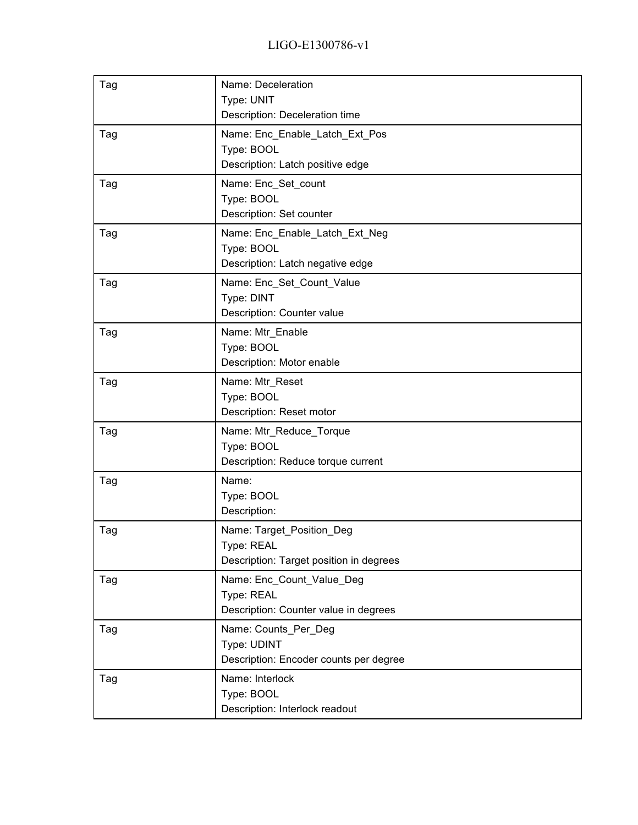| Tag | Name: Deceleration<br>Type: UNIT<br>Description: Deceleration time                 |
|-----|------------------------------------------------------------------------------------|
| Tag | Name: Enc_Enable_Latch_Ext_Pos<br>Type: BOOL<br>Description: Latch positive edge   |
| Tag | Name: Enc_Set_count<br>Type: BOOL<br>Description: Set counter                      |
| Tag | Name: Enc_Enable_Latch_Ext_Neg<br>Type: BOOL<br>Description: Latch negative edge   |
| Tag | Name: Enc_Set_Count_Value<br>Type: DINT<br>Description: Counter value              |
| Tag | Name: Mtr Enable<br>Type: BOOL<br>Description: Motor enable                        |
| Tag | Name: Mtr_Reset<br>Type: BOOL<br>Description: Reset motor                          |
| Tag | Name: Mtr_Reduce_Torque<br>Type: BOOL<br>Description: Reduce torque current        |
| Tag | Name:<br>Type: BOOL<br>Description:                                                |
| Tag | Name: Target_Position_Deg<br>Type: REAL<br>Description: Target position in degrees |
| Tag | Name: Enc Count Value Deg<br>Type: REAL<br>Description: Counter value in degrees   |
| Tag | Name: Counts_Per_Deg<br>Type: UDINT<br>Description: Encoder counts per degree      |
| Tag | Name: Interlock<br>Type: BOOL<br>Description: Interlock readout                    |